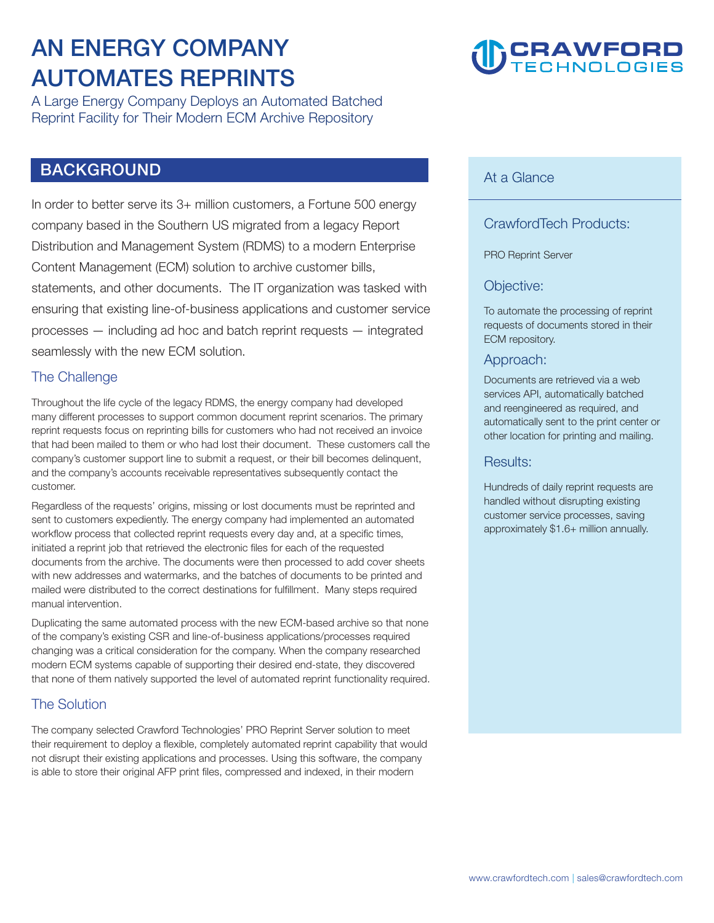### **AN ENERGY COMPANY AUTOMATES REPRINTS**

**A Large Energy Company Deploys an Automated Batched Reprint Facility for Their Modern ECM Archive Repository** 

#### **BACKGROUND**

**In order to better serve its 3+ million customers, a Fortune 500 energy company based in the Southern US migrated from a legacy Report Distribution and Management System (RDMS) to a modern Enterprise Content Management (ECM) solution to archive customer bills, statements, and other documents. The IT organization was tasked with ensuring that existing line-of-business applications and customer service processes — including ad hoc and batch reprint requests — integrated seamlessly with the new ECM solution.** 

#### **The Challenge**

**Throughout the life cycle of the legacy RDMS, the energy company had developed many different processes to support common document reprint scenarios. The primary reprint requests focus on reprinting bills for customers who had not received an invoice that had been mailed to them or who had lost their document. These customers call the company's customer support line to submit a request, or their bill becomes delinquent, and the company's accounts receivable representatives subsequently contact the customer.** 

**Regardless of the requests' origins, missing or lost documents must be reprinted and sent to customers expediently. The energy company had implemented an automated workflow process that collected reprint requests every day and, at a specific times, initiated a reprint job that retrieved the electronic files for each of the requested documents from the archive. The documents were then processed to add cover sheets with new addresses and watermarks, and the batches of documents to be printed and mailed were distributed to the correct destinations for fulfillment. Many steps required manual intervention.** 

**Duplicating the same automated process with the new ECM-based archive so that none of the company's existing CSR and line-of-business applications/processes required changing was a critical consideration for the company. When the company researched modern ECM systems capable of supporting their desired end-state, they discovered that none of them natively supported the level of automated reprint functionality required.** 

#### **The Solution**

**The company selected Crawford Technologies' PRO Reprint Server solution to meet their requirement to deploy a flexible, completely automated reprint capability that would not disrupt their existing applications and processes. Using this software, the company is able to store their original AFP print files, compressed and indexed, in their modern** 

## **CRAWFORD**

#### **At a Glance**

#### **CrawfordTech Products:**

**PRO Reprint Server** 

#### **Objective:**

**To automate the processing of reprint requests of documents stored in their ECM repository.** 

#### **Approach:**

**Documents are retrieved via a web services API, automatically batched and reengineered as required, and automatically sent to the print center or other location for printing and mailing.** 

#### **Results:**

**Hundreds of daily reprint requests are handled without disrupting existing customer service processes, saving approximately \$1.6+ million annually.**